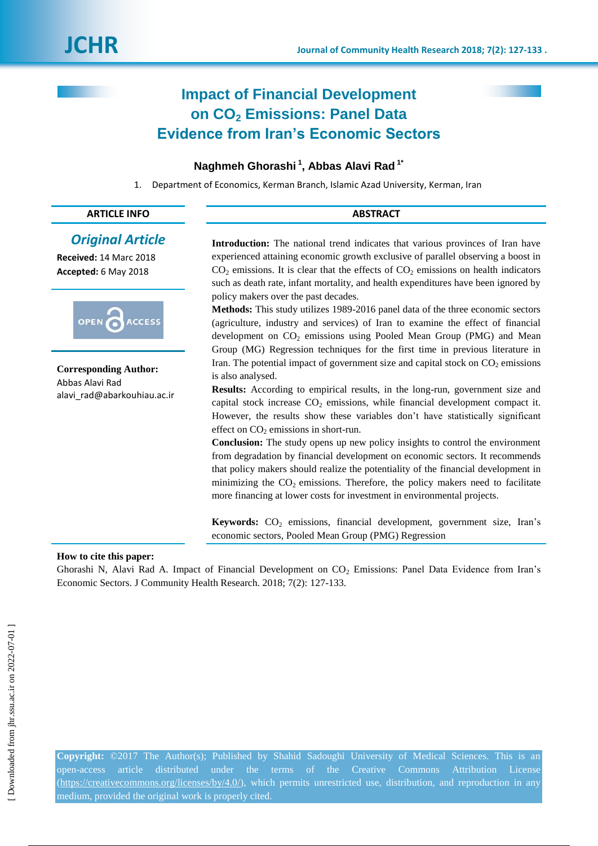# **Impact of Financial Development on CO<sup>2</sup> Emissions: Panel Data Evidence from Iran's Economic Sectors**

# **Naghmeh Ghorashi <sup>1</sup> , Abbas Alavi Rad 1\***

1. Department of Economics, Kerman Branch, Islamic Azad University, Kerman, Iran

# **ARTICLE INFO ABSTRACT**

*Original Article* **Received:** 14 Marc 2018 **Accepted:** 6 May 2018



**Corresponding Author:** Abbas Alavi Rad alavi rad@abarkouhiau.ac.ir **Introduction:** The national trend indicates that various provinces of Iran have experienced attaining economic growth exclusive of parallel observing a boost in  $CO<sub>2</sub>$  emissions. It is clear that the effects of  $CO<sub>2</sub>$  emissions on health indicators such as death rate, infant mortality, and health expenditures have been ignored by policy makers over the past decades.

**Methods:** This study utilizes 1989-2016 panel data of the three economic sectors (agriculture, industry and services) of Iran to examine the effect of financial development on CO<sub>2</sub> emissions using Pooled Mean Group (PMG) and Mean Group (MG) Regression techniques for the first time in previous literature in Iran. The potential impact of government size and capital stock on  $CO<sub>2</sub>$  emissions is also analysed.

**Results:** According to empirical results, in the long-run, government size and capital stock increase  $CO<sub>2</sub>$  emissions, while financial development compact it. However, the results show these variables don't have statistically significant effect on  $CO<sub>2</sub>$  emissions in short-run.

**Conclusion:** The study opens up new policy insights to control the environment from degradation by financial development on economic sectors. It recommends that policy makers should realize the potentiality of the financial development in minimizing the  $CO<sub>2</sub>$  emissions. Therefore, the policy makers need to facilitate more financing at lower costs for investment in environmental projects.

Keywords: CO<sub>2</sub> emissions, financial development, government size, Iran's economic sectors, Pooled Mean Group (PMG) Regression

### **How to cite this paper:**

Ghorashi N, Alavi Rad A. Impact of Financial Development on CO<sub>2</sub> Emissions: Panel Data Evidence from Iran's Economic Sectors. J Community Health Research. 2018; 7(2): 127-133.

**Copyright:** ©2017 The Author(s); Published by Shahid Sadoughi University of Medical Sciences. This is an open-access article distributed under the terms of the Creative Commons Attribution License [\(https://creativecommons.org/licenses/by/4.0/\)](https://creativecommons.org/licenses/by/4.0/), which permits unrestricted use, distribution, and reproduction in any medium, provided the original work is properly cited.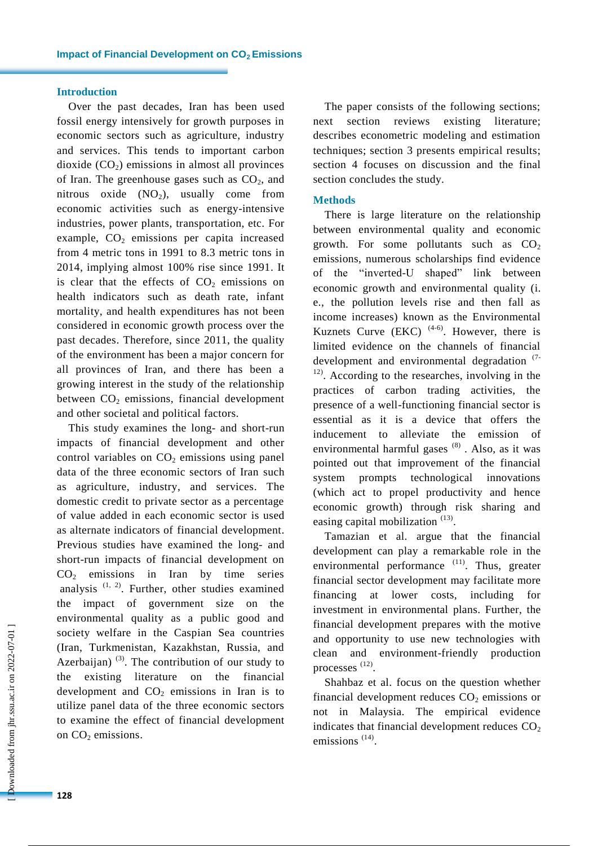# **Introduction**

Over the past decades, Iran has been used fossil energy intensively for growth purposes in economic sectors such as agriculture, industry and services. This tends to important carbon dioxide  $(CO_2)$  emissions in almost all provinces of Iran. The greenhouse gases such as  $CO<sub>2</sub>$ , and nitrous oxide  $(NO<sub>2</sub>)$ , usually come from economic activities such as energy-intensive industries, power plants, transportation, etc. For example,  $CO<sub>2</sub>$  emissions per capita increased from 4 metric tons in 1991 to 8.3 metric tons in 2014, implying almost 100% rise since 1991. It is clear that the effects of  $CO<sub>2</sub>$  emissions on health indicators such as death rate, infant mortality, and health expenditures has not been considered in economic growth process over the past decades. Therefore, since 2011, the quality of the environment has been a major concern for all provinces of Iran, and there has been a growing interest in the study of the relationship between  $CO<sub>2</sub>$  emissions, financial development and other societal and political factors.

This study examines the long- and short-run impacts of financial development and other control variables on  $CO<sub>2</sub>$  emissions using panel data of the three economic sectors of Iran such as agriculture, industry, and services. The domestic credit to private sector as a percentage of value added in each economic sector is used as alternate indicators of financial development. Previous studies have examined the long- and short-run impacts of financial development on  $CO<sub>2</sub>$  emissions in Iran by time series analysis  $(1, 2)$ . Further, other studies examined the impact of government size on the environmental quality as a public good and society welfare in the Caspian Sea countries (Iran, Turkmenistan, Kazakhstan, Russia, and Azerbaijan)  $(3)$ . The contribution of our study to the existing literature on the financial development and  $CO<sub>2</sub>$  emissions in Iran is to utilize panel data of the three economic sectors to examine the effect of financial development on  $CO<sub>2</sub>$  emissions.

The paper consists of the following sections; next section reviews existing literature; describes econometric modeling and estimation techniques; section 3 presents empirical results; section 4 focuses on discussion and the final section concludes the study.

#### **Methods**

There is large literature on the relationship between environmental quality and economic growth. For some pollutants such as  $CO<sub>2</sub>$ emissions, numerous scholarships find evidence of the "inverted-U shaped" link between economic growth and environmental quality (i. e., the pollution levels rise and then fall as income increases) known as the Environmental Kuznets Curve  $(EKC)$ <sup> $(4-6)$ </sup>. However, there is limited evidence on the channels of financial development and environmental degradation (7- <sup>12)</sup>. According to the researches, involving in the practices of carbon trading activities, the presence of a well-functioning financial sector is essential as it is a device that offers the inducement to alleviate the emission of environmental harmful gases  $(8)$ . Also, as it was pointed out that improvement of the financial system prompts technological innovations (which act to propel productivity and hence economic growth) through risk sharing and easing capital mobilization  $(13)$ .

Tamazian et al. argue that the financial development can play a remarkable role in the environmental performance <sup>(11)</sup>. Thus, greater financial sector development may facilitate more financing at lower costs, including for investment in environmental plans. Further, the financial development prepares with the motive and opportunity to use new technologies with clean and environment-friendly production processes<sup>(12)</sup>.

Shahbaz et al. focus on the question whether financial development reduces  $CO<sub>2</sub>$  emissions or not in Malaysia. The empirical evidence indicates that financial development reduces  $CO<sub>2</sub>$ emissions<sup>(14)</sup>.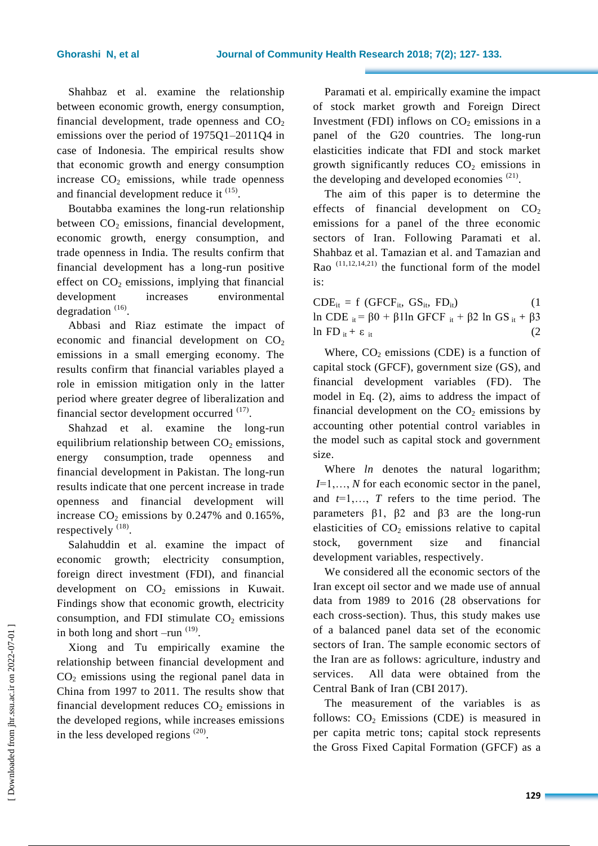Shahbaz et al. examine the relationship between economic growth, energy consumption, financial development, trade openness and  $CO<sub>2</sub>$ emissions over the period of 1975Q1–2011Q4 in case of Indonesia. The empirical results show that economic growth and energy consumption increase  $CO<sub>2</sub>$  emissions, while trade openness and financial development reduce it  $(15)$ .

Boutabba examines the long-run relationship between  $CO<sub>2</sub>$  emissions, financial development, economic growth, energy consumption, and trade openness in India. The results confirm that financial development has a long-run positive effect on  $CO<sub>2</sub>$  emissions, implying that financial development increases environmental degradation  $(16)$ .

Abbasi and Riaz estimate the impact of economic and financial development on  $CO<sub>2</sub>$ emissions in a small emerging economy. The results confirm that financial variables played a role in emission mitigation only in the latter period where greater degree of liberalization and financial sector development occurred  $(17)$ .

Shahzad et al. examine the long-run equilibrium relationship between  $CO<sub>2</sub>$  emissions, energy consumption, trade openness and financial development in Pakistan. The long-run results indicate that one percent increase in trade openness and financial development will increase  $CO<sub>2</sub>$  emissions by 0.247% and 0.165%, respectively  $^{(18)}$ .

Salahuddin et al. examine the impact of economic growth; electricity consumption, foreign direct investment (FDI), and financial development on  $CO<sub>2</sub>$  emissions in Kuwait. Findings show that economic growth, electricity consumption, and FDI stimulate  $CO<sub>2</sub>$  emissions in both long and short  $-\text{run}^{(19)}$ .

Xiong and Tu empirically examine the relationship between financial development and  $CO<sub>2</sub>$  emissions using the regional panel data in China from 1997 to 2011. The results show that financial development reduces  $CO<sub>2</sub>$  emissions in the developed regions, while increases emissions in the less developed regions  $(20)$ .

Paramati et al. empirically examine the impact of stock market growth and Foreign Direct Investment (FDI) inflows on  $CO<sub>2</sub>$  emissions in a panel of the G20 countries. The long-run elasticities indicate that FDI and stock market growth significantly reduces  $CO<sub>2</sub>$  emissions in the developing and developed economies  $(21)$ .

The aim of this paper is to determine the effects of financial development on  $CO<sub>2</sub>$ emissions for a panel of the three economic sectors of Iran. Following Paramati et al. Shahbaz et al. Tamazian et al. and Tamazian and Rao  $(11,12,14,21)$  the functional form of the model is:

 $CDE_{it} = f(GFCF_{it}, GS_{it}, FD_{it})$  (1 ln CDE  $_{it}$  = β0 + β1ln GFCF  $_{it}$  + β2 ln GS  $_{it}$  + β3 ln FD  $_{\text{it}} + \varepsilon$   $_{\text{it}}$  (2)

Where,  $CO<sub>2</sub>$  emissions (CDE) is a function of capital stock (GFCF), government size (GS), and financial development variables (FD). The model in Eq. (2), aims to address the impact of financial development on the  $CO<sub>2</sub>$  emissions by accounting other potential control variables in the model such as capital stock and government size.

Where *ln* denotes the natural logarithm; *I*=1,…, *N* for each economic sector in the panel, and  $t=1,\ldots,T$  refers to the time period. The parameters β1, β2 and β3 are the long-run elasticities of  $CO<sub>2</sub>$  emissions relative to capital stock, government size and financial development variables, respectively.

We considered all the economic sectors of the Iran except oil sector and we made use of annual data from 1989 to 2016 (28 observations for each cross-section). Thus, this study makes use of a balanced panel data set of the economic sectors of Iran. The sample economic sectors of the Iran are as follows: agriculture, industry and services. All data were obtained from the Central Bank of Iran (CBI 2017).

The measurement of the variables is as follows:  $CO<sub>2</sub>$  Emissions (CDE) is measured in per capita metric tons; capital stock represents the Gross Fixed Capital Formation (GFCF) as a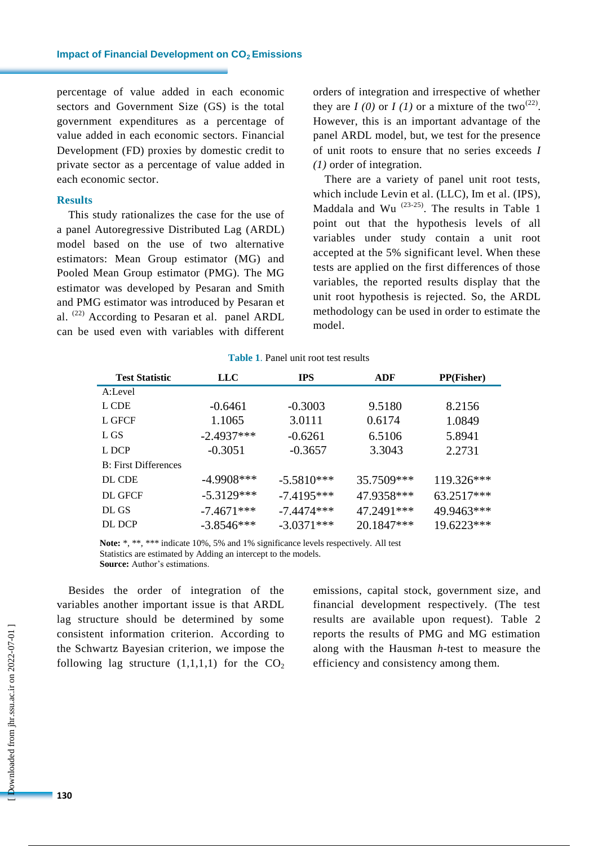percentage of value added in each economic sectors and Government Size (GS) is the total government expenditures as a percentage of value added in each economic sectors. Financial Development (FD) proxies by domestic credit to private sector as a percentage of value added in each economic sector.

#### **Results**

This study rationalizes the case for the use of a panel Autoregressive Distributed Lag (ARDL) model based on the use of two alternative estimators: Mean Group estimator (MG) and Pooled Mean Group estimator (PMG). The MG estimator was developed by Pesaran and Smith and PMG estimator was introduced by Pesaran et al. (22) According to Pesaran et al. panel ARDL can be used even with variables with different orders of integration and irrespective of whether they are  $I(0)$  or  $I(1)$  or a mixture of the two<sup>(22)</sup>. However, this is an important advantage of the panel ARDL model, but, we test for the presence of unit roots to ensure that no series exceeds *I (1)* order of integration.

There are a variety of panel unit root tests, which include Levin et al. (LLC), Im et al. (IPS), Maddala and Wu  $(23-25)$ . The results in Table 1 point out that the hypothesis levels of all variables under study contain a unit root accepted at the 5% significant level. When these tests are applied on the first differences of those variables, the reported results display that the unit root hypothesis is rejected. So, the ARDL methodology can be used in order to estimate the model.

| <b>Test Statistic</b> | <b>LLC</b>   | <b>IPS</b>   | ADF        | <b>PP(Fisher)</b> |
|-----------------------|--------------|--------------|------------|-------------------|
| A:Level               |              |              |            |                   |
| L CDE                 | $-0.6461$    | $-0.3003$    | 9.5180     | 8.2156            |
| L GFCF                | 1.1065       | 3.0111       | 0.6174     | 1.0849            |
| L GS                  | $-2.4937***$ | $-0.6261$    | 6.5106     | 5.8941            |
| L DCP                 | $-0.3051$    | $-0.3657$    | 3.3043     | 2.2731            |
| B: First Differences  |              |              |            |                   |
| DL CDE                | $-4.9908***$ | $-5.5810***$ | 35.7509*** | 119.326***        |
| DL GFCF               | $-5.3129***$ | $-7.4195***$ | 47.9358*** | 63.2517***        |
| DL GS                 | $-7.4671***$ | $-7.4474***$ | 47.2491*** | 49.9463***        |
| DL DCP                | $-3.8546***$ | $-3.0371***$ | 20.1847*** | 19.6223***        |

**Table 1**. Panel unit root test results

**Note:** \*, \*\*, \*\*\* indicate 10%, 5% and 1% significance levels respectively. All test Statistics are estimated by Adding an intercept to the models. **Source:** Author's estimations.

Besides the order of integration of the variables another important issue is that ARDL lag structure should be determined by some consistent information criterion. According to the Schwartz Bayesian criterion, we impose the following lag structure  $(1,1,1,1)$  for the  $CO<sub>2</sub>$  emissions, capital stock, government size, and financial development respectively. (The test results are available upon request). Table 2 reports the results of PMG and MG estimation along with the Hausman *h*-test to measure the efficiency and consistency among them.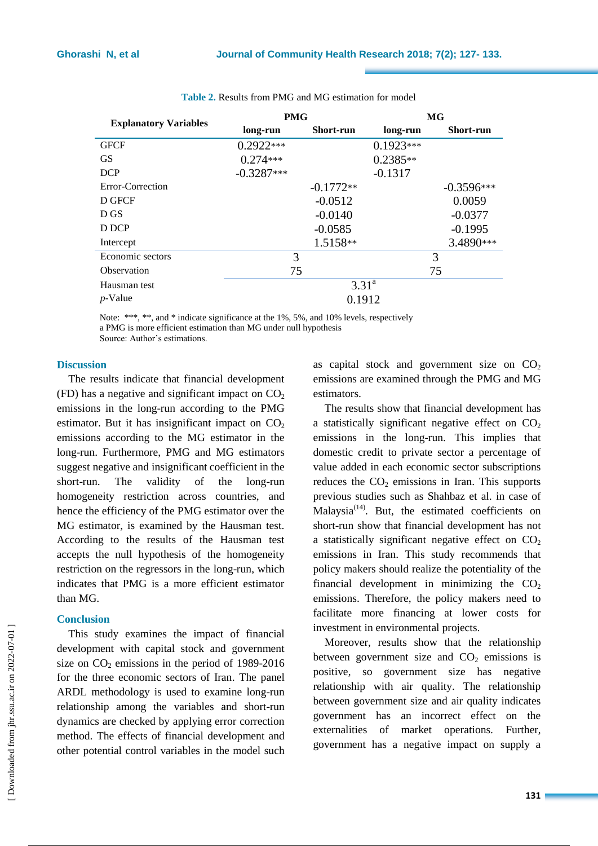|                              | <b>PMG</b>        |                  | MG          |                  |  |
|------------------------------|-------------------|------------------|-------------|------------------|--|
| <b>Explanatory Variables</b> | long-run          | <b>Short-run</b> | long-run    | <b>Short-run</b> |  |
| <b>GFCF</b>                  | $0.2922***$       |                  | $0.1923***$ |                  |  |
| <b>GS</b>                    | $0.274***$        |                  | $0.2385**$  |                  |  |
| <b>DCP</b>                   | $-0.3287***$      |                  | $-0.1317$   |                  |  |
| Error-Correction             |                   | $-0.1772**$      |             | $-0.3596***$     |  |
| D GFCF                       |                   | $-0.0512$        |             | 0.0059           |  |
| D GS                         |                   | $-0.0140$        |             | $-0.0377$        |  |
| D DCP                        |                   | $-0.0585$        |             | $-0.1995$        |  |
| Intercept                    |                   | 1.5158**         |             | 3.4890***        |  |
| Economic sectors             | 3                 |                  |             | 3                |  |
| Observation                  | 75                |                  |             | 75               |  |
| Hausman test                 | 3.31 <sup>a</sup> |                  |             |                  |  |
| $p$ -Value                   | 0.1912            |                  |             |                  |  |

# **Table 2.** Results from PMG and MG estimation for model

Note: \*\*\*, \*\*, and \* indicate significance at the 1%, 5%, and 10% levels, respectively a PMG is more efficient estimation than MG under null hypothesis Source: Author's estimations.

## **Discussion**

The results indicate that financial development (FD) has a negative and significant impact on  $CO<sub>2</sub>$ emissions in the long-run according to the PMG estimator. But it has insignificant impact on  $CO<sub>2</sub>$ emissions according to the MG estimator in the long-run. Furthermore, PMG and MG estimators suggest negative and insignificant coefficient in the short-run. The validity of the long-run homogeneity restriction across countries, and hence the efficiency of the PMG estimator over the MG estimator, is examined by the Hausman test. According to the results of the Hausman test accepts the null hypothesis of the homogeneity restriction on the regressors in the long-run, which indicates that PMG is a more efficient estimator than MG.

# **Conclusion**

This study examines the impact of financial development with capital stock and government size on  $CO<sub>2</sub>$  emissions in the period of 1989-2016 for the three economic sectors of Iran. The panel ARDL methodology is used to examine long-run relationship among the variables and short-run dynamics are checked by applying error correction method. The effects of financial development and other potential control variables in the model such as capital stock and government size on  $CO<sub>2</sub>$ emissions are examined through the PMG and MG estimators.

The results show that financial development has a statistically significant negative effect on  $CO<sub>2</sub>$ emissions in the long-run. This implies that domestic credit to private sector a percentage of value added in each economic sector subscriptions reduces the  $CO<sub>2</sub>$  emissions in Iran. This supports previous studies such as Shahbaz et al. in case of Malaysia<sup> $(14)$ </sup>. But, the estimated coefficients on short-run show that financial development has not a statistically significant negative effect on  $CO<sub>2</sub>$ emissions in Iran. This study recommends that policy makers should realize the potentiality of the financial development in minimizing the  $CO<sub>2</sub>$ emissions. Therefore, the policy makers need to facilitate more financing at lower costs for investment in environmental projects.

Moreover, results show that the relationship between government size and  $CO<sub>2</sub>$  emissions is positive, so government size has negative relationship with air quality. The relationship between government size and air quality indicates government has an incorrect effect on the externalities of market operations. Further, government has a negative impact on supply a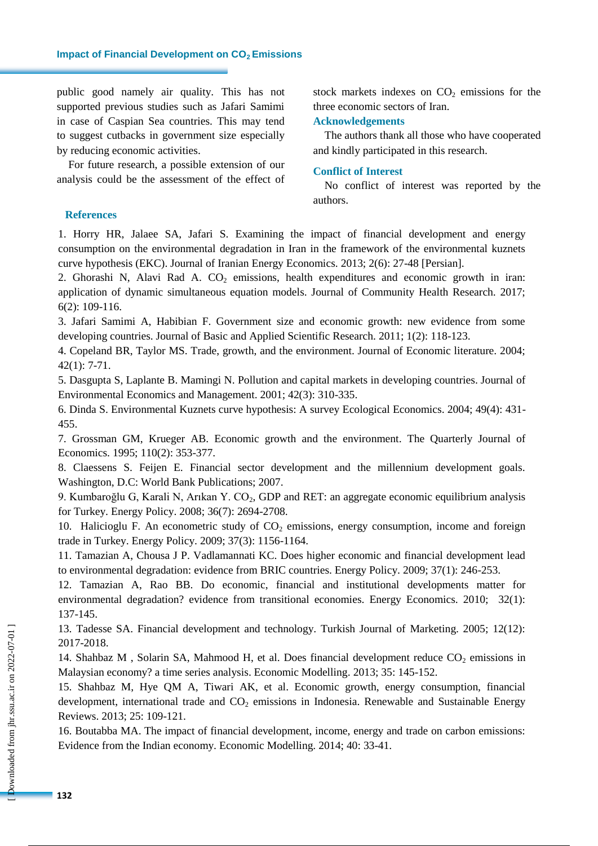public good namely air quality. This has not supported previous studies such as Jafari Samimi in case of Caspian Sea countries. This may tend to suggest cutbacks in government size especially by reducing economic activities.

For future research, a possible extension of our analysis could be the assessment of the effect of stock markets indexes on  $CO<sub>2</sub>$  emissions for the three economic sectors of Iran.

# **Acknowledgements**

The authors thank all those who have cooperated and kindly participated in this research.

# **Conflict of Interest**

No conflict of interest was reported by the authors.

# **References**

1. Horry HR, Jalaee SA, Jafari S. Examining the impact of financial development and energy consumption on the environmental degradation in Iran in the framework of the environmental kuznets curve hypothesis (EKC). Journal of Iranian Energy Economics. 2013; 2(6): 27-48 [Persian].

2. Ghorashi N, Alavi Rad A.  $CO<sub>2</sub>$  emissions, health expenditures and economic growth in iran: application of dynamic simultaneous equation models. Journal of Community Health Research. 2017; 6(2): 109-116.

3. Jafari Samimi A, Habibian F. Government size and economic growth: new evidence from some developing countries. Journal of Basic and Applied Scientific Research. 2011; 1(2): 118-123.

4. Copeland BR, Taylor MS. Trade, growth, and the environment. Journal of Economic literature. 2004; 42(1): 7-71.

5. Dasgupta S, Laplante B. Mamingi N. Pollution and capital markets in developing countries. Journal of Environmental Economics and Management. 2001; 42(3): 310-335.

6. Dinda S. Environmental Kuznets curve hypothesis: A survey Ecological Economics. 2004; 49(4): 431- 455.

7. Grossman GM, Krueger AB. Economic growth and the environment. The Quarterly Journal of Economics. 1995; 110(2): 353-377.

8. Claessens S. Feijen E. Financial sector development and the millennium development goals. Washington, D.C: World Bank Publications; 2007.

9. Kumbaroğlu G, Karali N, Arıkan Y. CO<sub>2</sub>, GDP and RET: an aggregate economic equilibrium analysis for Turkey. Energy Policy. 2008; 36(7): 2694-2708.

10. Halicioglu F. An econometric study of  $CO<sub>2</sub>$  emissions, energy consumption, income and foreign trade in Turkey. Energy Policy. 2009; 37(3): 1156-1164.

11. Tamazian A, Chousa J P. Vadlamannati KC. Does higher economic and financial development lead to environmental degradation: evidence from BRIC countries. Energy Policy. 2009; 37(1): 246-253.

12. Tamazian A, Rao BB. Do economic, financial and institutional developments matter for environmental degradation? evidence from transitional economies. Energy Economics. 2010; 32(1): 137-145.

13. Tadesse SA. Financial development and technology. Turkish Journal of Marketing. 2005; 12(12): 2017-2018.

14. Shahbaz M, Solarin SA, Mahmood H, et al. Does financial development reduce  $CO_2$  emissions in Malaysian economy? a time series analysis. Economic Modelling. 2013; 35: 145-152.

15. Shahbaz M, Hye QM A, Tiwari AK, et al. Economic growth, energy consumption, financial development, international trade and  $CO<sub>2</sub>$  emissions in Indonesia. Renewable and Sustainable Energy Reviews. 2013; 25: 109-121.

16. Boutabba MA. The impact of financial development, income, energy and trade on carbon emissions: Evidence from the Indian economy. Economic Modelling. 2014; 40: 33-41.